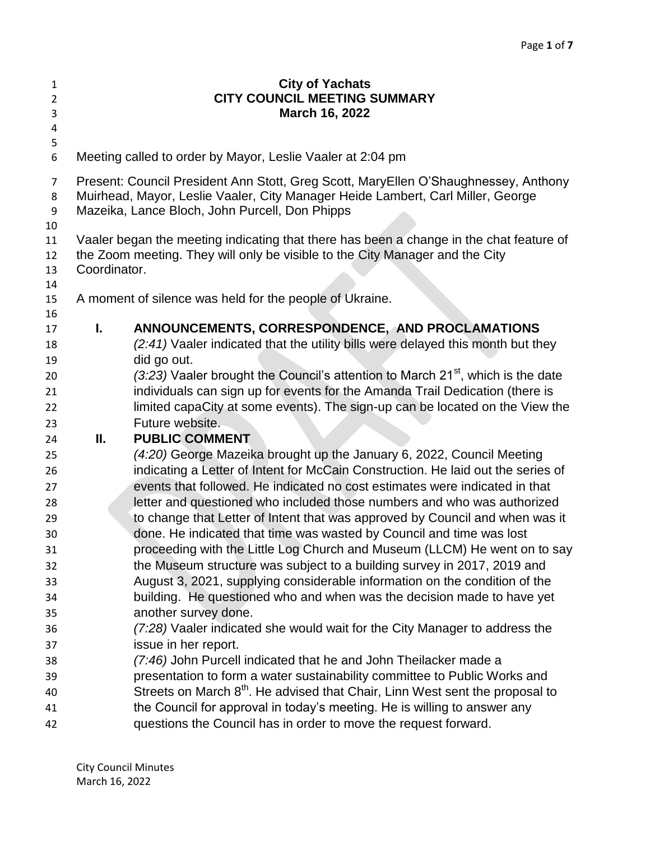| $\mathbf{1}$<br>$\overline{2}$<br>3<br>4 |                                                                                                                                                                                                                          | <b>City of Yachats</b><br><b>CITY COUNCIL MEETING SUMMARY</b><br>March 16, 2022                                                                      |
|------------------------------------------|--------------------------------------------------------------------------------------------------------------------------------------------------------------------------------------------------------------------------|------------------------------------------------------------------------------------------------------------------------------------------------------|
| 5<br>6                                   |                                                                                                                                                                                                                          | Meeting called to order by Mayor, Leslie Vaaler at 2:04 pm                                                                                           |
| $\overline{7}$<br>8<br>9                 | Present: Council President Ann Stott, Greg Scott, MaryEllen O'Shaughnessey, Anthony<br>Muirhead, Mayor, Leslie Vaaler, City Manager Heide Lambert, Carl Miller, George<br>Mazeika, Lance Bloch, John Purcell, Don Phipps |                                                                                                                                                      |
| 10                                       |                                                                                                                                                                                                                          |                                                                                                                                                      |
| 11                                       |                                                                                                                                                                                                                          | Vaaler began the meeting indicating that there has been a change in the chat feature of                                                              |
| 12                                       | the Zoom meeting. They will only be visible to the City Manager and the City                                                                                                                                             |                                                                                                                                                      |
| 13                                       | Coordinator.                                                                                                                                                                                                             |                                                                                                                                                      |
| 14                                       |                                                                                                                                                                                                                          |                                                                                                                                                      |
| 15<br>16                                 |                                                                                                                                                                                                                          | A moment of silence was held for the people of Ukraine.                                                                                              |
| 17                                       | L.                                                                                                                                                                                                                       | ANNOUNCEMENTS, CORRESPONDENCE, AND PROCLAMATIONS                                                                                                     |
| 18                                       |                                                                                                                                                                                                                          | (2:41) Vaaler indicated that the utility bills were delayed this month but they                                                                      |
| 19                                       |                                                                                                                                                                                                                          | did go out.                                                                                                                                          |
| 20                                       |                                                                                                                                                                                                                          | (3:23) Vaaler brought the Council's attention to March 21 <sup>st</sup> , which is the date                                                          |
| 21                                       |                                                                                                                                                                                                                          | individuals can sign up for events for the Amanda Trail Dedication (there is                                                                         |
| 22                                       |                                                                                                                                                                                                                          | limited capaCity at some events). The sign-up can be located on the View the                                                                         |
| 23                                       |                                                                                                                                                                                                                          | Future website.                                                                                                                                      |
| 24                                       | Ш.                                                                                                                                                                                                                       | <b>PUBLIC COMMENT</b>                                                                                                                                |
| 25                                       |                                                                                                                                                                                                                          | (4:20) George Mazeika brought up the January 6, 2022, Council Meeting                                                                                |
| 26                                       |                                                                                                                                                                                                                          | indicating a Letter of Intent for McCain Construction. He laid out the series of                                                                     |
| 27                                       |                                                                                                                                                                                                                          | events that followed. He indicated no cost estimates were indicated in that                                                                          |
| 28                                       |                                                                                                                                                                                                                          | letter and questioned who included those numbers and who was authorized                                                                              |
| 29<br>30                                 |                                                                                                                                                                                                                          | to change that Letter of Intent that was approved by Council and when was it<br>done. He indicated that time was wasted by Council and time was lost |
| 31                                       |                                                                                                                                                                                                                          | proceeding with the Little Log Church and Museum (LLCM) He went on to say                                                                            |
| 32                                       |                                                                                                                                                                                                                          | the Museum structure was subject to a building survey in 2017, 2019 and                                                                              |
| 33                                       |                                                                                                                                                                                                                          | August 3, 2021, supplying considerable information on the condition of the                                                                           |
| 34                                       |                                                                                                                                                                                                                          | building. He questioned who and when was the decision made to have yet                                                                               |
| 35                                       |                                                                                                                                                                                                                          | another survey done.                                                                                                                                 |
| 36                                       |                                                                                                                                                                                                                          | (7:28) Vaaler indicated she would wait for the City Manager to address the                                                                           |
| 37                                       |                                                                                                                                                                                                                          | issue in her report.                                                                                                                                 |
| 38                                       |                                                                                                                                                                                                                          | (7:46) John Purcell indicated that he and John Theilacker made a                                                                                     |
| 39                                       |                                                                                                                                                                                                                          | presentation to form a water sustainability committee to Public Works and                                                                            |
| 40                                       |                                                                                                                                                                                                                          | Streets on March 8 <sup>th</sup> . He advised that Chair, Linn West sent the proposal to                                                             |
| 41                                       |                                                                                                                                                                                                                          | the Council for approval in today's meeting. He is willing to answer any                                                                             |
| 42                                       |                                                                                                                                                                                                                          | questions the Council has in order to move the request forward.                                                                                      |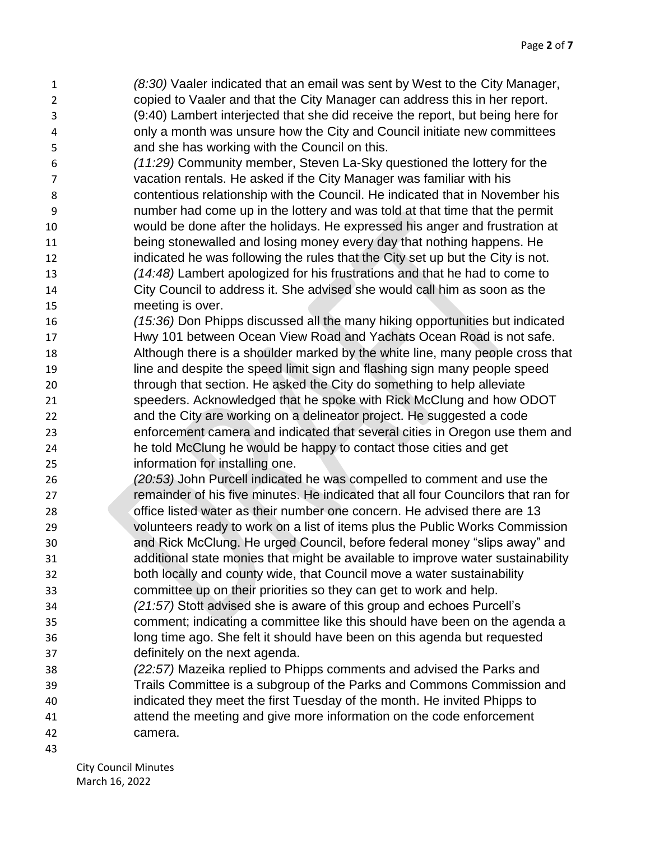*(8:30)* Vaaler indicated that an email was sent by West to the City Manager, copied to Vaaler and that the City Manager can address this in her report. (9:40) Lambert interjected that she did receive the report, but being here for only a month was unsure how the City and Council initiate new committees and she has working with the Council on this.

 *(11:29)* Community member, Steven La-Sky questioned the lottery for the vacation rentals. He asked if the City Manager was familiar with his contentious relationship with the Council. He indicated that in November his number had come up in the lottery and was told at that time that the permit would be done after the holidays. He expressed his anger and frustration at 11 being stonewalled and losing money every day that nothing happens. He indicated he was following the rules that the City set up but the City is not. *(14:48)* Lambert apologized for his frustrations and that he had to come to City Council to address it. She advised she would call him as soon as the meeting is over.

 *(15:36)* Don Phipps discussed all the many hiking opportunities but indicated Hwy 101 between Ocean View Road and Yachats Ocean Road is not safe. Although there is a shoulder marked by the white line, many people cross that line and despite the speed limit sign and flashing sign many people speed through that section. He asked the City do something to help alleviate speeders. Acknowledged that he spoke with Rick McClung and how ODOT and the City are working on a delineator project. He suggested a code enforcement camera and indicated that several cities in Oregon use them and he told McClung he would be happy to contact those cities and get information for installing one.

 *(20:53)* John Purcell indicated he was compelled to comment and use the remainder of his five minutes. He indicated that all four Councilors that ran for office listed water as their number one concern. He advised there are 13 volunteers ready to work on a list of items plus the Public Works Commission and Rick McClung. He urged Council, before federal money "slips away" and additional state monies that might be available to improve water sustainability both locally and county wide, that Council move a water sustainability

committee up on their priorities so they can get to work and help.

- *(21:57)* Stott advised she is aware of this group and echoes Purcell's comment; indicating a committee like this should have been on the agenda a long time ago. She felt it should have been on this agenda but requested definitely on the next agenda.
- *(22:57)* Mazeika replied to Phipps comments and advised the Parks and Trails Committee is a subgroup of the Parks and Commons Commission and indicated they meet the first Tuesday of the month. He invited Phipps to attend the meeting and give more information on the code enforcement camera.
-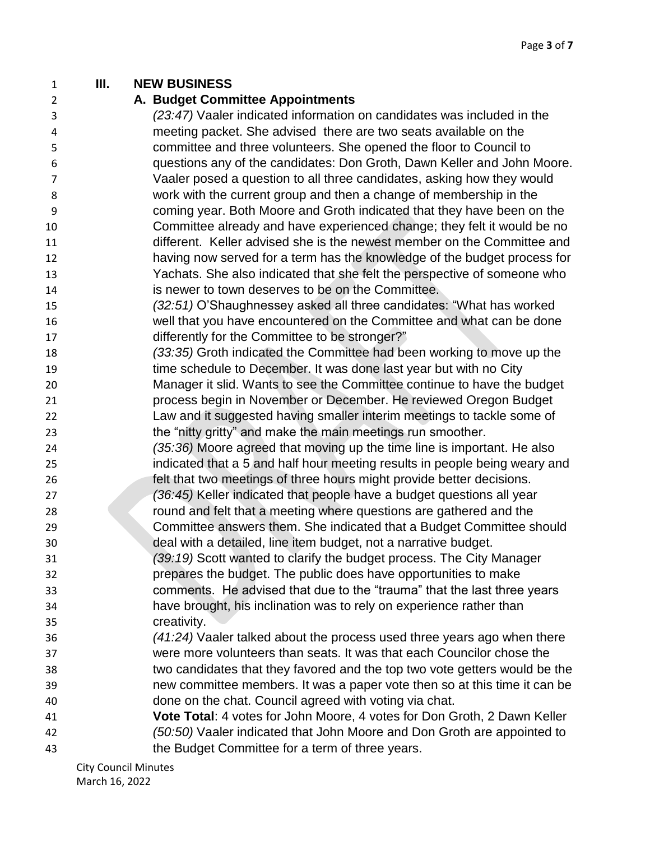## **III. NEW BUSINESS**

## **A. Budget Committee Appointments**

- *(23:47)* Vaaler indicated information on candidates was included in the meeting packet. She advised there are two seats available on the committee and three volunteers. She opened the floor to Council to questions any of the candidates: Don Groth, Dawn Keller and John Moore. Vaaler posed a question to all three candidates, asking how they would work with the current group and then a change of membership in the coming year. Both Moore and Groth indicated that they have been on the Committee already and have experienced change; they felt it would be no different. Keller advised she is the newest member on the Committee and having now served for a term has the knowledge of the budget process for Yachats. She also indicated that she felt the perspective of someone who is newer to town deserves to be on the Committee.
- *(32:51)* O'Shaughnessey asked all three candidates: "What has worked well that you have encountered on the Committee and what can be done 17 differently for the Committee to be stronger?"
- *(33:35)* Groth indicated the Committee had been working to move up the time schedule to December. It was done last year but with no City Manager it slid. Wants to see the Committee continue to have the budget process begin in November or December. He reviewed Oregon Budget Law and it suggested having smaller interim meetings to tackle some of
- the "nitty gritty" and make the main meetings run smoother. *(35:36)* Moore agreed that moving up the time line is important. He also
- indicated that a 5 and half hour meeting results in people being weary and felt that two meetings of three hours might provide better decisions.
- *(36:45)* Keller indicated that people have a budget questions all year round and felt that a meeting where questions are gathered and the Committee answers them. She indicated that a Budget Committee should
- deal with a detailed, line item budget, not a narrative budget. *(39:19)* Scott wanted to clarify the budget process. The City Manager prepares the budget. The public does have opportunities to make comments. He advised that due to the "trauma" that the last three years have brought, his inclination was to rely on experience rather than creativity.
- *(41:24)* Vaaler talked about the process used three years ago when there were more volunteers than seats. It was that each Councilor chose the two candidates that they favored and the top two vote getters would be the new committee members. It was a paper vote then so at this time it can be done on the chat. Council agreed with voting via chat.
- **Vote Total**: 4 votes for John Moore, 4 votes for Don Groth, 2 Dawn Keller *(50:50)* Vaaler indicated that John Moore and Don Groth are appointed to the Budget Committee for a term of three years.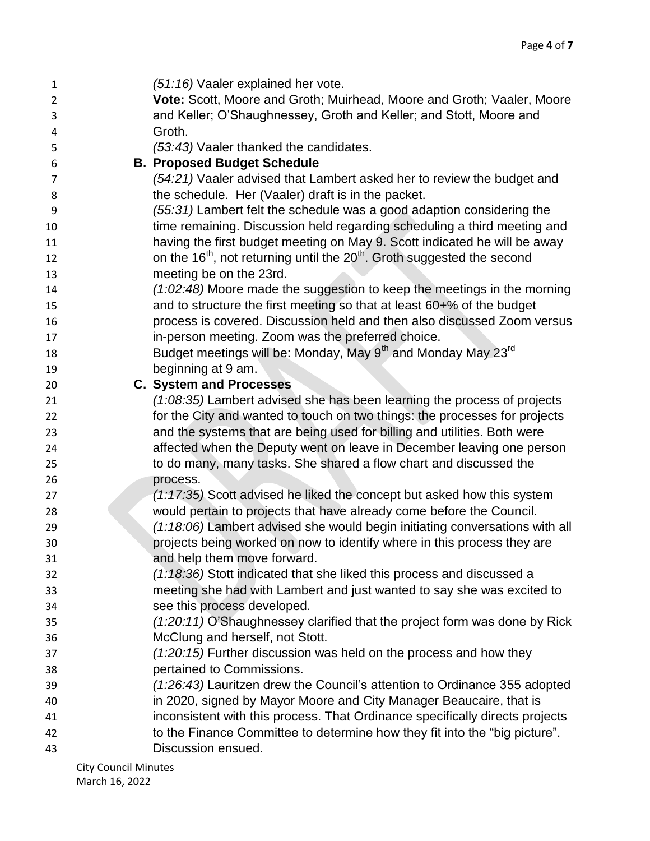| 1              | (51:16) Vaaler explained her vote.                                                              |
|----------------|-------------------------------------------------------------------------------------------------|
| $\overline{2}$ | Vote: Scott, Moore and Groth; Muirhead, Moore and Groth; Vaaler, Moore                          |
| 3              | and Keller; O'Shaughnessey, Groth and Keller; and Stott, Moore and                              |
| 4              | Groth.                                                                                          |
| 5              | (53:43) Vaaler thanked the candidates.                                                          |
| 6              | <b>B. Proposed Budget Schedule</b>                                                              |
| 7              | (54:21) Vaaler advised that Lambert asked her to review the budget and                          |
| 8              | the schedule. Her (Vaaler) draft is in the packet.                                              |
| 9              | (55:31) Lambert felt the schedule was a good adaption considering the                           |
| 10             | time remaining. Discussion held regarding scheduling a third meeting and                        |
| 11             | having the first budget meeting on May 9. Scott indicated he will be away                       |
| 12             | on the 16 <sup>th</sup> , not returning until the 20 <sup>th</sup> . Groth suggested the second |
| 13             | meeting be on the 23rd.                                                                         |
| 14             | (1:02:48) Moore made the suggestion to keep the meetings in the morning                         |
| 15             | and to structure the first meeting so that at least 60+% of the budget                          |
| 16             | process is covered. Discussion held and then also discussed Zoom versus                         |
| 17             | in-person meeting. Zoom was the preferred choice.                                               |
| 18             | Budget meetings will be: Monday, May 9 <sup>th</sup> and Monday May 23 <sup>rd</sup>            |
| 19             | beginning at 9 am.                                                                              |
| 20             | <b>C. System and Processes</b>                                                                  |
| 21             | $(1:08:35)$ Lambert advised she has been learning the process of projects                       |
| 22             | for the City and wanted to touch on two things: the processes for projects                      |
| 23             | and the systems that are being used for billing and utilities. Both were                        |
| 24             | affected when the Deputy went on leave in December leaving one person                           |
| 25             | to do many, many tasks. She shared a flow chart and discussed the                               |
| 26             | process.                                                                                        |
| 27             | (1:17:35) Scott advised he liked the concept but asked how this system                          |
| 28             | would pertain to projects that have already come before the Council.                            |
| 29             | (1:18:06) Lambert advised she would begin initiating conversations with all                     |
| 30             | projects being worked on now to identify where in this process they are                         |
| 31             | and help them move forward.                                                                     |
| 32             | (1:18:36) Stott indicated that she liked this process and discussed a                           |
| 33             | meeting she had with Lambert and just wanted to say she was excited to                          |
| 34             | see this process developed.                                                                     |
| 35             | (1:20:11) O'Shaughnessey clarified that the project form was done by Rick                       |
| 36             | McClung and herself, not Stott.                                                                 |
| 37             | $(1:20:15)$ Further discussion was held on the process and how they                             |
| 38             | pertained to Commissions.                                                                       |
| 39             | (1:26:43) Lauritzen drew the Council's attention to Ordinance 355 adopted                       |
| 40             | in 2020, signed by Mayor Moore and City Manager Beaucaire, that is                              |
| 41             | inconsistent with this process. That Ordinance specifically directs projects                    |
| 42             | to the Finance Committee to determine how they fit into the "big picture".                      |
| 43             | Discussion ensued.                                                                              |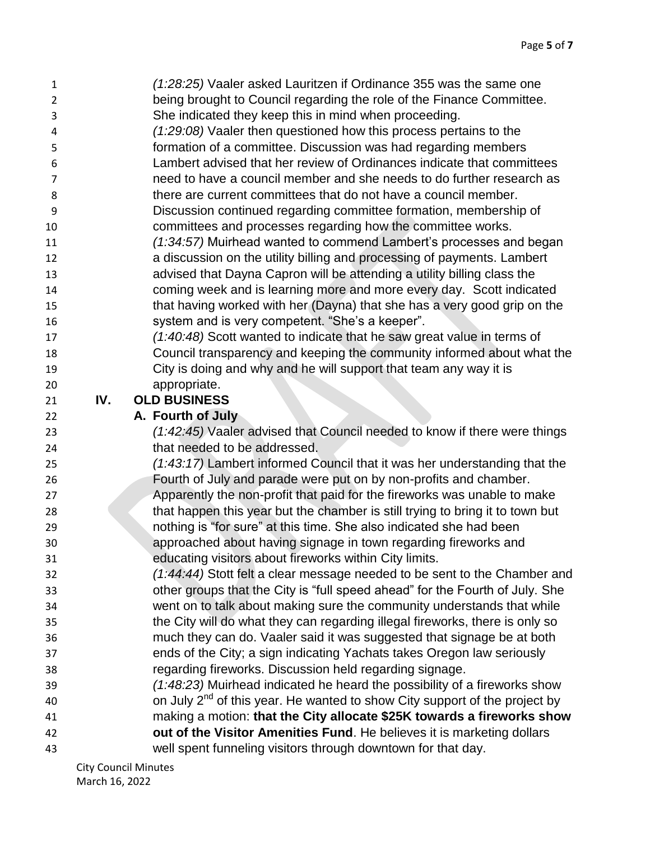| 1              |     | (1:28:25) Vaaler asked Lauritzen if Ordinance 355 was the same one              |
|----------------|-----|---------------------------------------------------------------------------------|
| $\overline{2}$ |     | being brought to Council regarding the role of the Finance Committee.           |
| 3              |     | She indicated they keep this in mind when proceeding.                           |
| 4              |     | (1:29:08) Vaaler then questioned how this process pertains to the               |
| 5              |     | formation of a committee. Discussion was had regarding members                  |
| 6              |     | Lambert advised that her review of Ordinances indicate that committees          |
| 7              |     | need to have a council member and she needs to do further research as           |
| 8              |     | there are current committees that do not have a council member.                 |
| 9              |     | Discussion continued regarding committee formation, membership of               |
| 10             |     | committees and processes regarding how the committee works.                     |
| 11             |     | (1:34:57) Muirhead wanted to commend Lambert's processes and began              |
| 12             |     | a discussion on the utility billing and processing of payments. Lambert         |
| 13             |     | advised that Dayna Capron will be attending a utility billing class the         |
| 14             |     | coming week and is learning more and more every day. Scott indicated            |
| 15             |     | that having worked with her (Dayna) that she has a very good grip on the        |
| 16             |     | system and is very competent. "She's a keeper".                                 |
| 17             |     | (1:40:48) Scott wanted to indicate that he saw great value in terms of          |
| 18             |     | Council transparency and keeping the community informed about what the          |
| 19             |     | City is doing and why and he will support that team any way it is               |
| 20             |     | appropriate.                                                                    |
| 21             | IV. | <b>OLD BUSINESS</b>                                                             |
| 22             |     | A. Fourth of July                                                               |
| 23             |     | (1:42:45) Vaaler advised that Council needed to know if there were things       |
| 24             |     | that needed to be addressed.                                                    |
| 25             |     | (1:43:17) Lambert informed Council that it was her understanding that the       |
| 26             |     | Fourth of July and parade were put on by non-profits and chamber.               |
| 27             |     | Apparently the non-profit that paid for the fireworks was unable to make        |
| 28             |     | that happen this year but the chamber is still trying to bring it to town but   |
| 29             |     | nothing is "for sure" at this time. She also indicated she had been             |
| 30             |     | approached about having signage in town regarding fireworks and                 |
| 31             |     | educating visitors about fireworks within City limits.                          |
| 32             |     | (1:44:44) Stott felt a clear message needed to be sent to the Chamber and       |
| 33             |     | other groups that the City is "full speed ahead" for the Fourth of July. She    |
| 34             |     | went on to talk about making sure the community understands that while          |
| 35             |     | the City will do what they can regarding illegal fireworks, there is only so    |
| 36             |     | much they can do. Vaaler said it was suggested that signage be at both          |
| 37             |     | ends of the City; a sign indicating Yachats takes Oregon law seriously          |
| 38             |     | regarding fireworks. Discussion held regarding signage.                         |
| 39             |     | (1:48:23) Muirhead indicated he heard the possibility of a fireworks show       |
| 40             |     | on July $2^{nd}$ of this year. He wanted to show City support of the project by |
| 41             |     | making a motion: that the City allocate \$25K towards a fireworks show          |
| 42             |     | out of the Visitor Amenities Fund. He believes it is marketing dollars          |
| 43             |     | well spent funneling visitors through downtown for that day.                    |
|                |     |                                                                                 |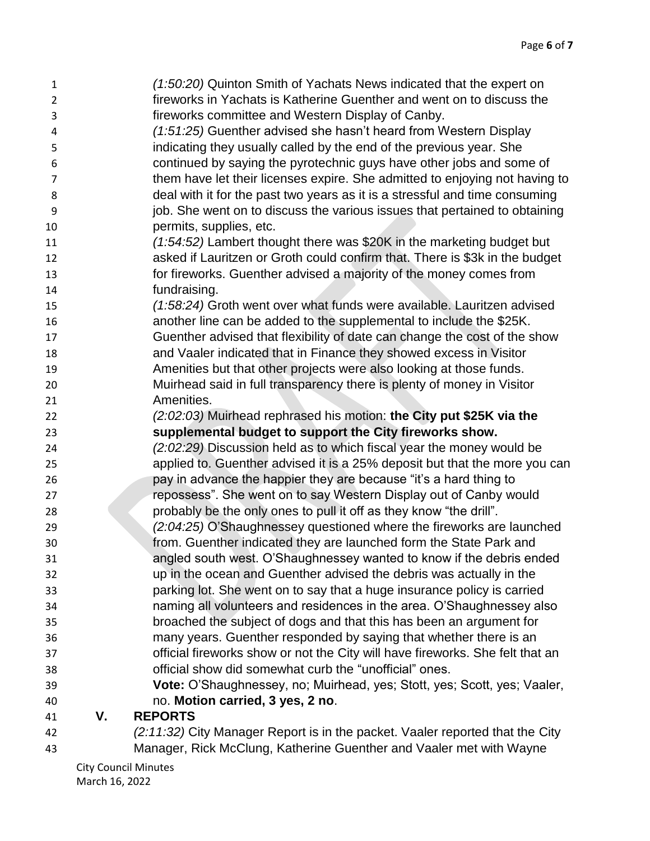| $\mathbf{1}$   |    | (1:50:20) Quinton Smith of Yachats News indicated that the expert on          |
|----------------|----|-------------------------------------------------------------------------------|
| $\overline{2}$ |    | fireworks in Yachats is Katherine Guenther and went on to discuss the         |
| 3              |    | fireworks committee and Western Display of Canby.                             |
| 4              |    | (1:51:25) Guenther advised she hasn't heard from Western Display              |
| 5              |    | indicating they usually called by the end of the previous year. She           |
| 6              |    | continued by saying the pyrotechnic guys have other jobs and some of          |
| $\overline{7}$ |    | them have let their licenses expire. She admitted to enjoying not having to   |
| 8              |    | deal with it for the past two years as it is a stressful and time consuming   |
| 9              |    | job. She went on to discuss the various issues that pertained to obtaining    |
| 10             |    | permits, supplies, etc.                                                       |
| 11             |    | (1:54:52) Lambert thought there was \$20K in the marketing budget but         |
| 12             |    | asked if Lauritzen or Groth could confirm that. There is \$3k in the budget   |
| 13             |    | for fireworks. Guenther advised a majority of the money comes from            |
| 14             |    | fundraising.                                                                  |
| 15             |    | (1:58:24) Groth went over what funds were available. Lauritzen advised        |
| 16             |    | another line can be added to the supplemental to include the \$25K.           |
| 17             |    | Guenther advised that flexibility of date can change the cost of the show     |
| 18             |    | and Vaaler indicated that in Finance they showed excess in Visitor            |
| 19             |    | Amenities but that other projects were also looking at those funds.           |
| 20             |    | Muirhead said in full transparency there is plenty of money in Visitor        |
| 21             |    | Amenities.                                                                    |
| 22             |    | (2:02:03) Muirhead rephrased his motion: the City put \$25K via the           |
| 23             |    | supplemental budget to support the City fireworks show.                       |
| 24             |    | (2:02:29) Discussion held as to which fiscal year the money would be          |
| 25             |    | applied to. Guenther advised it is a 25% deposit but that the more you can    |
| 26             |    | pay in advance the happier they are because "it's a hard thing to             |
| 27             |    | repossess". She went on to say Western Display out of Canby would             |
| 28             |    | probably be the only ones to pull it off as they know "the drill".            |
| 29             |    | (2:04:25) O'Shaughnessey questioned where the fireworks are launched          |
| 30             |    | from. Guenther indicated they are launched form the State Park and            |
| 31             |    | angled south west. O'Shaughnessey wanted to know if the debris ended          |
| 32             |    | up in the ocean and Guenther advised the debris was actually in the           |
| 33             |    | parking lot. She went on to say that a huge insurance policy is carried       |
| 34             |    | naming all volunteers and residences in the area. O'Shaughnessey also         |
| 35             |    | broached the subject of dogs and that this has been an argument for           |
| 36             |    | many years. Guenther responded by saying that whether there is an             |
| 37             |    | official fireworks show or not the City will have fireworks. She felt that an |
| 38             |    | official show did somewhat curb the "unofficial" ones.                        |
| 39             |    | Vote: O'Shaughnessey, no; Muirhead, yes; Stott, yes; Scott, yes; Vaaler,      |
| 40             |    | no. Motion carried, 3 yes, 2 no.                                              |
| 41             | V. | <b>REPORTS</b>                                                                |
| 42             |    | (2:11:32) City Manager Report is in the packet. Vaaler reported that the City |
| 43             |    | Manager, Rick McClung, Katherine Guenther and Vaaler met with Wayne           |